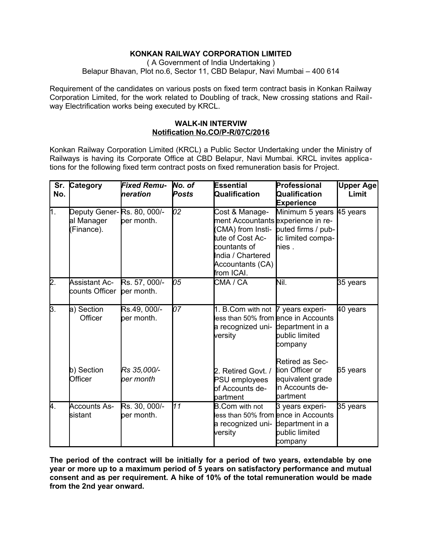# **KONKAN RAILWAY CORPORATION LIMITED**

( A Government of India Undertaking ) Belapur Bhavan, Plot no.6, Sector 11, CBD Belapur, Navi Mumbai – 400 614

Requirement of the candidates on various posts on fixed term contract basis in Konkan Railway Corporation Limited, for the work related to Doubling of track, New crossing stations and Railway Electrification works being executed by KRCL.

## **WALK-IN INTERVIW Notification No.CO/P-R/07C/2016**

Konkan Railway Corporation Limited (KRCL) a Public Sector Undertaking under the Ministry of Railways is having its Corporate Office at CBD Belapur, Navi Mumbai. KRCL invites applications for the following fixed term contract posts on fixed remuneration basis for Project.

| Sr.<br>No.       | Category                                              | <b>Fixed Remu-</b><br>heration | No. of<br>Posts | Essential<br>Qualification                                                                                                                              | Professional<br>Qualification<br><b>Experience</b>                                               | <b>Upper Age</b><br>Limit |
|------------------|-------------------------------------------------------|--------------------------------|-----------------|---------------------------------------------------------------------------------------------------------------------------------------------------------|--------------------------------------------------------------------------------------------------|---------------------------|
| $\overline{1}$ . | Deputy Gener-Rs. 80, 000/-<br>al Manager<br>Finance). | per month.                     | 02              | Cost & Manage-<br>ment Accountants experience in re-<br>tute of Cost Ac-<br><b>c</b> ountants of<br>India / Chartered<br>Accountants (CA)<br>from ICAI. | Minimum 5 years 45 years<br>(CMA) from Insti- puted firms / pub-<br>lic limited compa-<br>hies . |                           |
| 2.               | <b>Assistant Ac-</b><br>counts Officer                | Rs. 57, 000/-<br>per month.    | 105             | CMA / CA                                                                                                                                                | Nil.                                                                                             | 35 years                  |
| 3.               | a) Section<br>Officer                                 | Rs.49, 000/-<br>ber month.     | 107             | 1. B.Com with not 7 years experi-<br>a recognized uni- department in a<br>versity                                                                       | less than 50% from ence in Accounts<br>public limited<br>company                                 | 40 years                  |
|                  | b) Section<br>Officer                                 | Rs 35,000/-<br>ber month       |                 | 2. Retired Govt. /<br><b>PSU</b> employees<br>of Accounts de-<br>partment                                                                               | Retired as Sec-<br>tion Officer or<br>equivalent grade<br>in Accounts de-<br>partment            | 65 years                  |
| 4.               | <b>Accounts As-</b><br>sistant                        | Rs. 30, 000/-<br>ber month.    | 11              | <b>B.Com with not</b><br>a recognized uni- department in a<br>versity                                                                                   | 3 years experi-<br>less than 50% from ence in Accounts<br>bublic limited<br>company              | 35 years                  |

**The period of the contract will be initially for a period of two years, extendable by one year or more up to a maximum period of 5 years on satisfactory performance and mutual consent and as per requirement. A hike of 10% of the total remuneration would be made from the 2nd year onward.**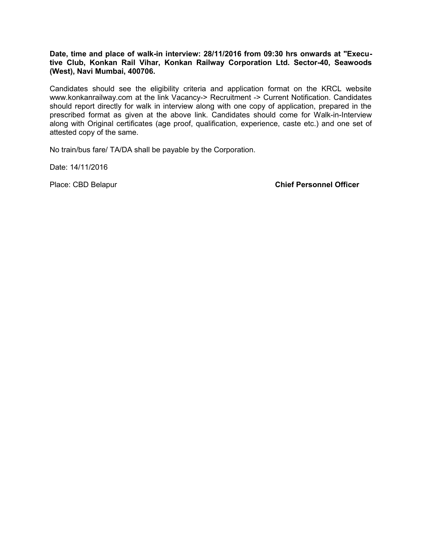#### **Date, time and place of walk-in interview: 28/11/2016 from 09:30 hrs onwards at "Executive Club, Konkan Rail Vihar, Konkan Railway Corporation Ltd. Sector-40, Seawoods (West), Navi Mumbai, 400706.**

Candidates should see the eligibility criteria and application format on the KRCL website www.konkanrailway.com at the link Vacancy-> Recruitment -> Current Notification. Candidates should report directly for walk in interview along with one copy of application, prepared in the prescribed format as given at the above link. Candidates should come for Walk-in-Interview along with Original certificates (age proof, qualification, experience, caste etc.) and one set of attested copy of the same.

No train/bus fare/ TA/DA shall be payable by the Corporation.

Date: 14/11/2016

Place: CBD Belapur **Chief Personnel Officer**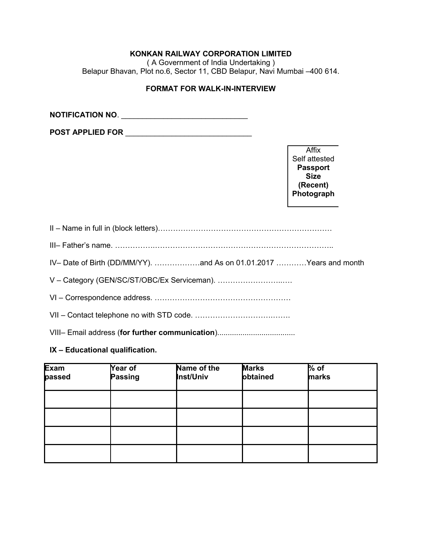# **KONKAN RAILWAY CORPORATION LIMITED**

( A Government of India Undertaking ) Belapur Bhavan, Plot no.6, Sector 11, CBD Belapur, Navi Mumbai –400 614.

## **FORMAT FOR WALK-IN-INTERVIEW**

**NOTIFICATION NO**. \_\_\_\_\_\_\_\_\_\_\_\_\_\_\_\_\_\_\_\_\_\_\_\_\_\_\_\_\_\_

**POST APPLIED FOR** \_\_\_\_\_\_\_\_\_\_\_\_\_\_\_\_\_\_\_\_\_\_\_\_\_\_\_\_\_\_

Affix Self attested **Passport Size (Recent) Photograph**

# **IX – Educational qualification.**

| Exam<br>passed | Year of<br>Passing | Name of the<br>Inst/Univ | <b>Marks</b><br>obtained | $%$ of<br>marks |  |
|----------------|--------------------|--------------------------|--------------------------|-----------------|--|
|                |                    |                          |                          |                 |  |
|                |                    |                          |                          |                 |  |
|                |                    |                          |                          |                 |  |
|                |                    |                          |                          |                 |  |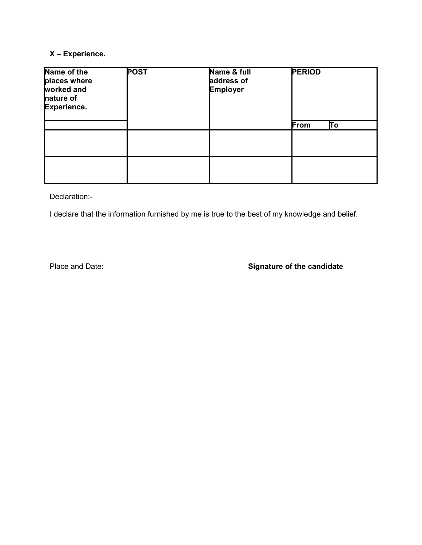# **X – Experience.**

| Name of the<br>places where<br>worked and<br>nature of<br>Experience. | POST | Name & full<br>address of<br>Employer | <b>PERIOD</b> |  |
|-----------------------------------------------------------------------|------|---------------------------------------|---------------|--|
|                                                                       |      |                                       | Tο<br>From    |  |
|                                                                       |      |                                       |               |  |
|                                                                       |      |                                       |               |  |

Declaration:-

I declare that the information furnished by me is true to the best of my knowledge and belief.

# Place and Date**: Signature of the candidate**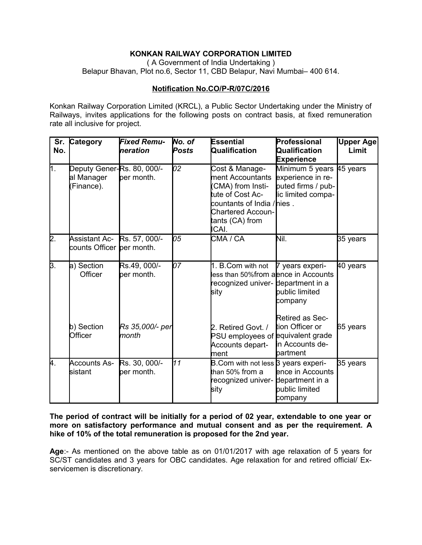# **KONKAN RAILWAY CORPORATION LIMITED**

( A Government of India Undertaking ) Belapur Bhavan, Plot no.6, Sector 11, CBD Belapur, Navi Mumbai– 400 614.

## **Notification No.CO/P-R/07C/2016**

Konkan Railway Corporation Limited (KRCL), a Public Sector Undertaking under the Ministry of Railways, invites applications for the following posts on contract basis, at fixed remuneration rate all inclusive for project.

| No. | Sr. Category                                            | <b>Fixed Remu-</b><br>Ineration | No. of<br>Posts | <b>Essential</b><br>Qualification                                                                                                                                | Professional<br>Qualification<br><b>Experience</b>                                        | <b>Upper Age</b><br>Limit |
|-----|---------------------------------------------------------|---------------------------------|-----------------|------------------------------------------------------------------------------------------------------------------------------------------------------------------|-------------------------------------------------------------------------------------------|---------------------------|
| ∏.  | Deputy Gener-Rs. 80, 000/-<br>al Manager<br>(Finance).  | per month.                      | 02              | Cost & Manage-<br>ment Accountants<br>CMA) from Insti-<br>tute of Cost Ac-<br>countants of India / nies.<br><b>Chartered Accoun-</b><br>tants (CA) from<br>ICAI. | Minimum 5 years 45 years<br>experience in re-<br>puted firms / pub-<br>lic limited compa- |                           |
| 2.  | Assistant Ac-Rs. 57, 000/-<br>counts Officer per month. |                                 | 105             | CMA / CA                                                                                                                                                         | Nil.                                                                                      | 35 years                  |
| 3.  | a) Section<br>Officer                                   | Rs.49, 000/-<br>per month.      | 07              | 1. B.Com with not<br>less than 50%from aence in Accounts<br>recognized univer- department in a<br>sity                                                           | 7 years experi-<br>public limited<br>company                                              | 40 years                  |
|     | b) Section<br>Officer                                   | Rs 35,000/- per<br>month        |                 | 2. Retired Govt. /<br>PSU employees of equivalent grade<br>Accounts depart-<br>lment                                                                             | Retired as Sec-<br>tion Officer or<br>in Accounts de-<br>partment                         | 65 years                  |
| 4.  | <b>Accounts As-</b><br>sistant                          | Rs. 30, 000/-<br>per month.     | 11              | B.Com with not less 3 years experi-<br>than 50% from a<br>recognized univer- department in a<br>sity                                                             | ence in Accounts<br>public limited<br>company                                             | 35 years                  |

**The period of contract will be initially for a period of 02 year, extendable to one year or more on satisfactory performance and mutual consent and as per the requirement. A hike of 10% of the total remuneration is proposed for the 2nd year.**

**Age**:- As mentioned on the above table as on 01/01/2017 with age relaxation of 5 years for SC/ST candidates and 3 years for OBC candidates. Age relaxation for and retired official/ Exservicemen is discretionary.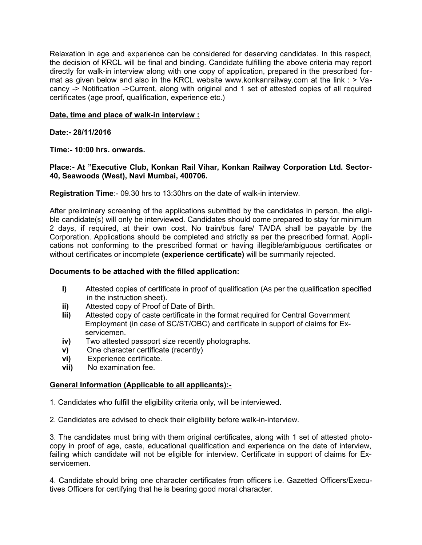Relaxation in age and experience can be considered for deserving candidates. In this respect, the decision of KRCL will be final and binding. Candidate fulfilling the above criteria may report directly for walk-in interview along with one copy of application, prepared in the prescribed format as given below and also in the KRCL website www.konkanrailway.com at the link : > Vacancy -> Notification ->Current, along with original and 1 set of attested copies of all required certificates (age proof, qualification, experience etc.)

### **Date, time and place of walk-in interview :**

**Date:- 28/11/2016**

**Time:- 10:00 hrs. onwards.**

### **Place:- At "Executive Club, Konkan Rail Vihar, Konkan Railway Corporation Ltd. Sector-40, Seawoods (West), Navi Mumbai, 400706.**

**Registration Time**:- 09.30 hrs to 13:30hrs on the date of walk-in interview.

After preliminary screening of the applications submitted by the candidates in person, the eligible candidate(s) will only be interviewed. Candidates should come prepared to stay for minimum 2 days, if required, at their own cost. No train/bus fare/ TA/DA shall be payable by the Corporation. Applications should be completed and strictly as per the prescribed format. Applications not conforming to the prescribed format or having illegible/ambiguous certificates or without certificates or incomplete **(experience certificate)** will be summarily rejected.

#### **Documents to be attached with the filled application:**

- **I)** Attested copies of certificate in proof of qualification (As per the qualification specified in the instruction sheet).
- **ii)** Attested copy of Proof of Date of Birth.
- **Iii)** Attested copy of caste certificate in the format required for Central Government Employment (in case of SC/ST/OBC) and certificate in support of claims for Ex servicemen.
- **iv)** Two attested passport size recently photographs.
- **v)** One character certificate (recently)
- **vi)** Experience certificate.
- **vii)** No examination fee.

## **General Information (Applicable to all applicants):-**

1. Candidates who fulfill the eligibility criteria only, will be interviewed.

2. Candidates are advised to check their eligibility before walk-in-interview.

3. The candidates must bring with them original certificates, along with 1 set of attested photocopy in proof of age, caste, educational qualification and experience on the date of interview, failing which candidate will not be eligible for interview. Certificate in support of claims for Exservicemen.

4. Candidate should bring one character certificates from officers i.e. Gazetted Officers/Executives Officers for certifying that he is bearing good moral character.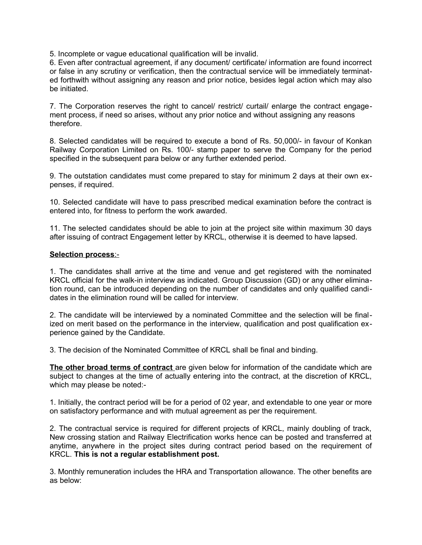5. Incomplete or vague educational qualification will be invalid.

6. Even after contractual agreement, if any document/ certificate/ information are found incorrect or false in any scrutiny or verification, then the contractual service will be immediately terminated forthwith without assigning any reason and prior notice, besides legal action which may also be initiated.

7. The Corporation reserves the right to cancel/ restrict/ curtail/ enlarge the contract engagement process, if need so arises, without any prior notice and without assigning any reasons therefore.

8. Selected candidates will be required to execute a bond of Rs. 50,000/- in favour of Konkan Railway Corporation Limited on Rs. 100/- stamp paper to serve the Company for the period specified in the subsequent para below or any further extended period.

9. The outstation candidates must come prepared to stay for minimum 2 days at their own expenses, if required.

10. Selected candidate will have to pass prescribed medical examination before the contract is entered into, for fitness to perform the work awarded.

11. The selected candidates should be able to join at the project site within maximum 30 days after issuing of contract Engagement letter by KRCL, otherwise it is deemed to have lapsed.

#### **Selection process**:-

1. The candidates shall arrive at the time and venue and get registered with the nominated KRCL official for the walk-in interview as indicated. Group Discussion (GD) or any other elimination round, can be introduced depending on the number of candidates and only qualified candidates in the elimination round will be called for interview.

2. The candidate will be interviewed by a nominated Committee and the selection will be finalized on merit based on the performance in the interview, qualification and post qualification experience gained by the Candidate.

3. The decision of the Nominated Committee of KRCL shall be final and binding.

**The other broad terms of contract** are given below for information of the candidate which are subject to changes at the time of actually entering into the contract, at the discretion of KRCL, which may please be noted:-

1. Initially, the contract period will be for a period of 02 year, and extendable to one year or more on satisfactory performance and with mutual agreement as per the requirement.

2. The contractual service is required for different projects of KRCL, mainly doubling of track, New crossing station and Railway Electrification works hence can be posted and transferred at anytime, anywhere in the project sites during contract period based on the requirement of KRCL. **This is not a regular establishment post.**

3. Monthly remuneration includes the HRA and Transportation allowance. The other benefits are as below: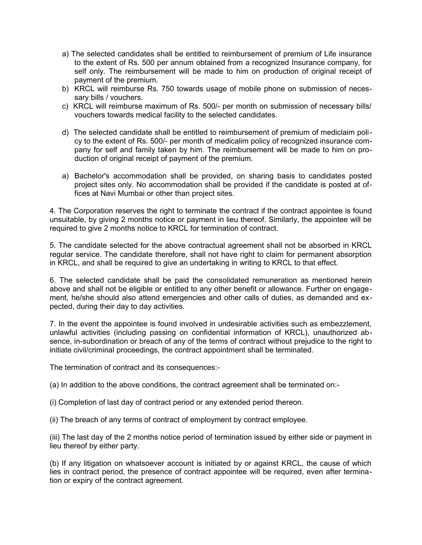- a) The selected candidates shall be entitled to reimbursement of premium of Life insurance to the extent of Rs. 500 per annum obtained from a recognized Insurance company, for self only. The reimbursement will be made to him on production of original receipt of payment of the premium.
- b) KRCL will reimburse Rs. 750 towards usage of mobile phone on submission of necessary bills / vouchers.
- c) KRCL will reimburse maximum of Rs. 500/- per month on submission of necessary bills/ vouchers towards medical facility to the selected candidates.
- d) The selected candidate shall be entitled to reimbursement of premium of mediclaim policy to the extent of Rs. 500/- per month of medicalim policy of recognized insurance company for self and family taken by him. The reimbursement will be made to him on production of original receipt of payment of the premium.
- a) Bachelor's accommodation shall be provided, on sharing basis to candidates posted project sites only. No accommodation shall be provided if the candidate is posted at offices at Navi Mumbai or other than project sites.

4. The Corporation reserves the right to terminate the contract if the contract appointee is found unsuitable, by giving 2 months notice or payment in lieu thereof. Similarly, the appointee will be required to give 2 months notice to KRCL for termination of contract.

5. The candidate selected for the above contractual agreement shall not be absorbed in KRCL regular service. The candidate therefore, shall not have right to claim for permanent absorption in KRCL, and shall be required to give an undertaking in writing to KRCL to that effect.

6. The selected candidate shall be paid the consolidated remuneration as mentioned herein above and shall not be eligible or entitled to any other benefit or allowance. Further on engagement, he/she should also attend emergencies and other calls of duties, as demanded and expected, during their day to day activities.

7. In the event the appointee is found involved in undesirable activities such as embezzlement, unlawful activities (including passing on confidential information of KRCL), unauthorized absence, in-subordination or breach of any of the terms of contract without prejudice to the right to initiate civil/criminal proceedings, the contract appointment shall be terminated.

The termination of contract and its consequences:-

(a) In addition to the above conditions, the contract agreement shall be terminated on:-

- (i) Completion of last day of contract period or any extended period thereon.
- (ii) The breach of any terms of contract of employment by contract employee.

(iii) The last day of the 2 months notice period of termination issued by either side or payment in lieu thereof by either party.

(b) If any litigation on whatsoever account is initiated by or against KRCL, the cause of which lies in contract period, the presence of contract appointee will be required, even after termination or expiry of the contract agreement.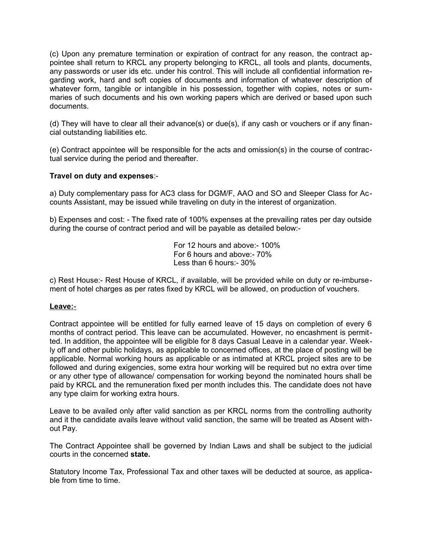(c) Upon any premature termination or expiration of contract for any reason, the contract appointee shall return to KRCL any property belonging to KRCL, all tools and plants, documents, any passwords or user ids etc. under his control. This will include all confidential information regarding work, hard and soft copies of documents and information of whatever description of whatever form, tangible or intangible in his possession, together with copies, notes or summaries of such documents and his own working papers which are derived or based upon such documents.

(d) They will have to clear all their advance(s) or due(s), if any cash or vouchers or if any financial outstanding liabilities etc.

(e) Contract appointee will be responsible for the acts and omission(s) in the course of contractual service during the period and thereafter.

## **Travel on duty and expenses**:-

a) Duty complementary pass for AC3 class for DGM/F, AAO and SO and Sleeper Class for Accounts Assistant, may be issued while traveling on duty in the interest of organization.

b) Expenses and cost: - The fixed rate of 100% expenses at the prevailing rates per day outside during the course of contract period and will be payable as detailed below:-

> For 12 hours and above:- 100% For 6 hours and above:- 70% Less than 6 hours:- 30%

c) Rest House:- Rest House of KRCL, if available, will be provided while on duty or re-imbursement of hotel charges as per rates fixed by KRCL will be allowed, on production of vouchers.

#### **Leave:**-

Contract appointee will be entitled for fully earned leave of 15 days on completion of every 6 months of contract period. This leave can be accumulated. However, no encashment is permitted. In addition, the appointee will be eligible for 8 days Casual Leave in a calendar year. Weekly off and other public holidays, as applicable to concerned offices, at the place of posting will be applicable. Normal working hours as applicable or as intimated at KRCL project sites are to be followed and during exigencies, some extra hour working will be required but no extra over time or any other type of allowance/ compensation for working beyond the nominated hours shall be paid by KRCL and the remuneration fixed per month includes this. The candidate does not have any type claim for working extra hours.

Leave to be availed only after valid sanction as per KRCL norms from the controlling authority and it the candidate avails leave without valid sanction, the same will be treated as Absent without Pay.

The Contract Appointee shall be governed by Indian Laws and shall be subject to the judicial courts in the concerned **state.** 

Statutory Income Tax, Professional Tax and other taxes will be deducted at source, as applicable from time to time.